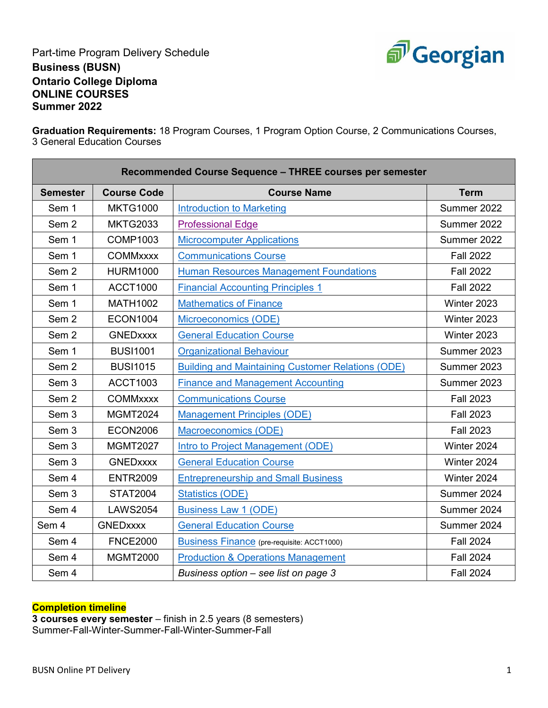

Part-time Program Delivery Schedule **Business (BUSN) Ontario College Diploma ONLINE COURSES Summer 2022**

**Graduation Requirements:** 18 Program Courses, 1 Program Option Course, 2 Communications Courses, 3 General Education Courses

| Recommended Course Sequence - THREE courses per semester |                    |                                                          |                  |  |
|----------------------------------------------------------|--------------------|----------------------------------------------------------|------------------|--|
| <b>Semester</b>                                          | <b>Course Code</b> | <b>Course Name</b>                                       | <b>Term</b>      |  |
| Sem 1                                                    | <b>MKTG1000</b>    | <b>Introduction to Marketing</b>                         | Summer 2022      |  |
| Sem <sub>2</sub>                                         | <b>MKTG2033</b>    | <b>Professional Edge</b>                                 | Summer 2022      |  |
| Sem 1                                                    | <b>COMP1003</b>    | <b>Microcomputer Applications</b>                        | Summer 2022      |  |
| Sem 1                                                    | <b>COMMxxxx</b>    | <b>Communications Course</b>                             | <b>Fall 2022</b> |  |
| Sem <sub>2</sub>                                         | <b>HURM1000</b>    | <b>Human Resources Management Foundations</b>            | <b>Fall 2022</b> |  |
| Sem 1                                                    | <b>ACCT1000</b>    | <b>Financial Accounting Principles 1</b>                 | <b>Fall 2022</b> |  |
| Sem 1                                                    | <b>MATH1002</b>    | <b>Mathematics of Finance</b>                            | Winter 2023      |  |
| Sem <sub>2</sub>                                         | <b>ECON1004</b>    | Microeconomics (ODE)                                     | Winter 2023      |  |
| Sem <sub>2</sub>                                         | <b>GNEDxxxx</b>    | <b>General Education Course</b>                          | Winter 2023      |  |
| Sem 1                                                    | <b>BUSI1001</b>    | <b>Organizational Behaviour</b>                          | Summer 2023      |  |
| Sem <sub>2</sub>                                         | <b>BUSI1015</b>    | <b>Building and Maintaining Customer Relations (ODE)</b> | Summer 2023      |  |
| Sem <sub>3</sub>                                         | <b>ACCT1003</b>    | <b>Finance and Management Accounting</b>                 | Summer 2023      |  |
| Sem <sub>2</sub>                                         | <b>COMMxxxx</b>    | <b>Communications Course</b>                             | <b>Fall 2023</b> |  |
| Sem <sub>3</sub>                                         | <b>MGMT2024</b>    | <b>Management Principles (ODE)</b>                       | <b>Fall 2023</b> |  |
| Sem 3                                                    | <b>ECON2006</b>    | Macroeconomics (ODE)                                     | <b>Fall 2023</b> |  |
| Sem 3                                                    | <b>MGMT2027</b>    | Intro to Project Management (ODE)                        | Winter 2024      |  |
| Sem <sub>3</sub>                                         | <b>GNEDxxxx</b>    | <b>General Education Course</b>                          | Winter 2024      |  |
| Sem 4                                                    | <b>ENTR2009</b>    | <b>Entrepreneurship and Small Business</b>               | Winter 2024      |  |
| Sem 3                                                    | <b>STAT2004</b>    | <b>Statistics (ODE)</b>                                  | Summer 2024      |  |
| Sem 4                                                    | <b>LAWS2054</b>    | <b>Business Law 1 (ODE)</b>                              | Summer 2024      |  |
| Sem 4                                                    | <b>GNEDxxxx</b>    | <b>General Education Course</b>                          | Summer 2024      |  |
| Sem 4                                                    | <b>FNCE2000</b>    | <b>Business Finance</b> (pre-requisite: ACCT1000)        | <b>Fall 2024</b> |  |
| Sem 4                                                    | <b>MGMT2000</b>    | <b>Production &amp; Operations Management</b>            | <b>Fall 2024</b> |  |
| Sem 4                                                    |                    | Business option - see list on page 3                     | <b>Fall 2024</b> |  |

## **Completion timeline**

**3 courses every semester** – finish in 2.5 years (8 semesters) Summer-Fall-Winter-Summer-Fall-Winter-Summer-Fall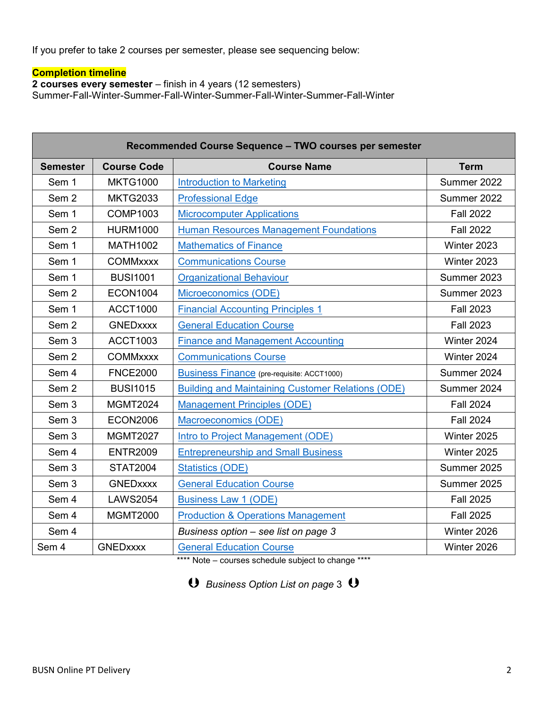If you prefer to take 2 courses per semester, please see sequencing below:

## **Completion timeline**

**2 courses every semester** – finish in 4 years (12 semesters) Summer-Fall-Winter-Summer-Fall-Winter-Summer-Fall-Winter-Summer-Fall-Winter

| Recommended Course Sequence - TWO courses per semester |                    |                                                          |                  |  |
|--------------------------------------------------------|--------------------|----------------------------------------------------------|------------------|--|
| <b>Semester</b>                                        | <b>Course Code</b> | <b>Course Name</b>                                       | <b>Term</b>      |  |
| Sem 1                                                  | <b>MKTG1000</b>    | <b>Introduction to Marketing</b>                         | Summer 2022      |  |
| Sem <sub>2</sub>                                       | <b>MKTG2033</b>    | <b>Professional Edge</b>                                 | Summer 2022      |  |
| Sem 1                                                  | <b>COMP1003</b>    | <b>Microcomputer Applications</b>                        | <b>Fall 2022</b> |  |
| Sem <sub>2</sub>                                       | <b>HURM1000</b>    | <b>Human Resources Management Foundations</b>            | <b>Fall 2022</b> |  |
| Sem 1                                                  | <b>MATH1002</b>    | <b>Mathematics of Finance</b>                            | Winter 2023      |  |
| Sem 1                                                  | <b>COMMxxxx</b>    | <b>Communications Course</b>                             | Winter 2023      |  |
| Sem 1                                                  | <b>BUSI1001</b>    | <b>Organizational Behaviour</b>                          | Summer 2023      |  |
| Sem <sub>2</sub>                                       | <b>ECON1004</b>    | Microeconomics (ODE)                                     | Summer 2023      |  |
| Sem 1                                                  | <b>ACCT1000</b>    | <b>Financial Accounting Principles 1</b>                 | <b>Fall 2023</b> |  |
| Sem <sub>2</sub>                                       | <b>GNEDxxxx</b>    | <b>General Education Course</b>                          | <b>Fall 2023</b> |  |
| Sem <sub>3</sub>                                       | <b>ACCT1003</b>    | <b>Finance and Management Accounting</b>                 | Winter 2024      |  |
| Sem <sub>2</sub>                                       | <b>COMMxxxx</b>    | <b>Communications Course</b>                             | Winter 2024      |  |
| Sem 4                                                  | <b>FNCE2000</b>    | <b>Business Finance</b> (pre-requisite: ACCT1000)        | Summer 2024      |  |
| Sem <sub>2</sub>                                       | <b>BUSI1015</b>    | <b>Building and Maintaining Customer Relations (ODE)</b> | Summer 2024      |  |
| Sem <sub>3</sub>                                       | <b>MGMT2024</b>    | <b>Management Principles (ODE)</b>                       | <b>Fall 2024</b> |  |
| Sem 3                                                  | <b>ECON2006</b>    | Macroeconomics (ODE)                                     | <b>Fall 2024</b> |  |
| Sem <sub>3</sub>                                       | <b>MGMT2027</b>    | Intro to Project Management (ODE)                        | Winter 2025      |  |
| Sem 4                                                  | <b>ENTR2009</b>    | <b>Entrepreneurship and Small Business</b>               | Winter 2025      |  |
| Sem 3                                                  | <b>STAT2004</b>    | <b>Statistics (ODE)</b>                                  | Summer 2025      |  |
| Sem 3                                                  | <b>GNEDxxxx</b>    | <b>General Education Course</b>                          | Summer 2025      |  |
| Sem 4                                                  | <b>LAWS2054</b>    | <b>Business Law 1 (ODE)</b>                              | <b>Fall 2025</b> |  |
| Sem 4                                                  | <b>MGMT2000</b>    | <b>Production &amp; Operations Management</b>            | <b>Fall 2025</b> |  |
| Sem 4                                                  |                    | Business option - see list on page 3                     | Winter 2026      |  |
| Sem 4                                                  | <b>GNEDxxxx</b>    | <b>General Education Course</b>                          | Winter 2026      |  |

\*\*\*\* Note – courses schedule subject to change \*\*\*\*

*O* Business Option List on page 3 **O**